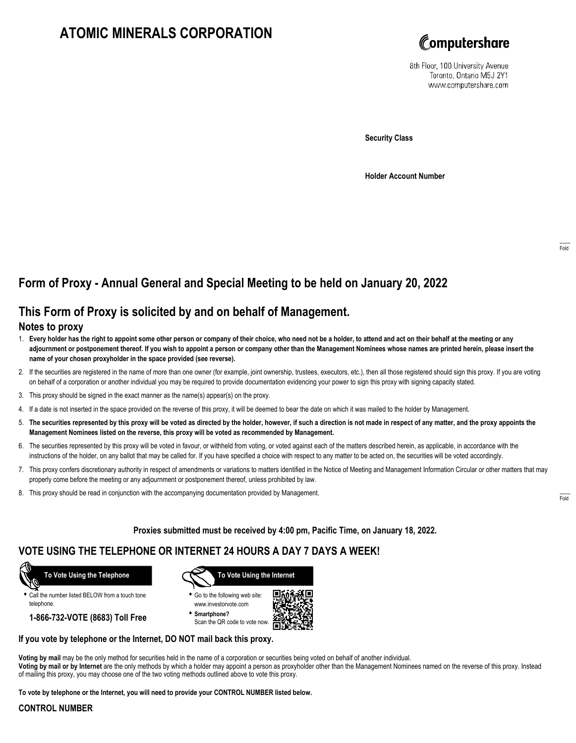# **ATOMIC MINERALS CORPORATION**



8th Floor, 100 University Avenue Toronto, Ontario M5J 2Y1 www.computershare.com

**Security Class**

**Holder Account Number**

## **Form of Proxy - Annual General and Special Meeting to be held on January 20, 2022**

### **This Form of Proxy is solicited by and on behalf of Management.**

### **Notes to proxy**

- 1. **Every holder has the right to appoint some other person or company of their choice, who need not be a holder, to attend and act on their behalf at the meeting or any adjournment or postponement thereof. If you wish to appoint a person or company other than the Management Nominees whose names are printed herein, please insert the name of your chosen proxyholder in the space provided (see reverse).**
- 2. If the securities are registered in the name of more than one owner (for example, joint ownership, trustees, executors, etc.), then all those registered should sign this proxy. If you are voting on behalf of a corporation or another individual you may be required to provide documentation evidencing your power to sign this proxy with signing capacity stated.
- 3. This proxy should be signed in the exact manner as the name(s) appear(s) on the proxy.
- 4. If a date is not inserted in the space provided on the reverse of this proxy, it will be deemed to bear the date on which it was mailed to the holder by Management.
- 5. **The securities represented by this proxy will be voted as directed by the holder, however, if such a direction is not made in respect of any matter, and the proxy appoints the Management Nominees listed on the reverse, this proxy will be voted as recommended by Management.**
- 6. The securities represented by this proxy will be voted in favour, or withheld from voting, or voted against each of the matters described herein, as applicable, in accordance with the instructions of the holder, on any ballot that may be called for. If you have specified a choice with respect to any matter to be acted on, the securities will be voted accordingly.
- 7. This proxy confers discretionary authority in respect of amendments or variations to matters identified in the Notice of Meeting and Management Information Circular or other matters that may properly come before the meeting or any adjournment or postponement thereof, unless prohibited by law.
- 8. This proxy should be read in conjunction with the accompanying documentation provided by Management.

**Proxies submitted must be received by 4:00 pm, Pacific Time, on January 18, 2022.**

### **VOTE USING THE TELEPHONE OR INTERNET 24 HOURS A DAY 7 DAYS A WEEK!**



**•** Call the number listed BELOW from a touch tone telephone.

**1-866-732-VOTE (8683) Toll Free**



**•** Go to the following web site: www.investorvote.com

**• Smartphone?** Scan the QR code to vote now.



#### **If you vote by telephone or the Internet, DO NOT mail back this proxy.**

**Voting by mail** may be the only method for securities held in the name of a corporation or securities being voted on behalf of another individual. **Voting by mail or by Internet** are the only methods by which a holder may appoint a person as proxyholder other than the Management Nominees named on the reverse of this proxy. Instead of mailing this proxy, you may choose one of the two voting methods outlined above to vote this proxy.

**To vote by telephone or the Internet, you will need to provide your CONTROL NUMBER listed below.**

#### **CONTROL NUMBER**